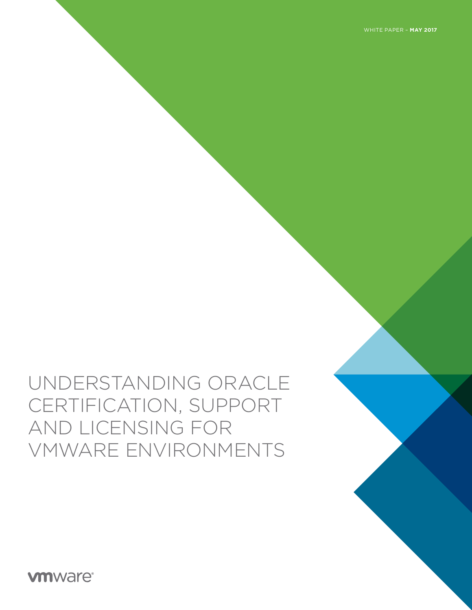WHITE PAPER – **MAY 2017**

# UNDERSTANDING ORACLE CERTIFICATION, SUPPORT AND LICENSING FOR VMWARE ENVIRONMENTS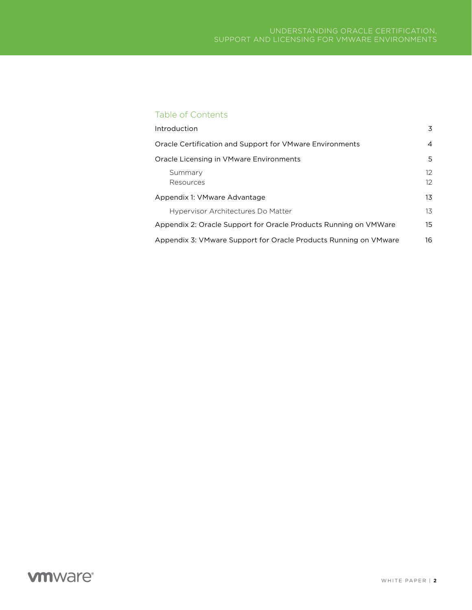# Table of Contents

| Introduction                                                     | 3                    |  |
|------------------------------------------------------------------|----------------------|--|
| Oracle Certification and Support for VMware Environments         |                      |  |
| Oracle Licensing in VMware Environments                          |                      |  |
| Summary<br>Resources                                             | $12^{1}$<br>$12^{1}$ |  |
| Appendix 1: VMware Advantage                                     |                      |  |
| Hypervisor Architectures Do Matter                               | 13                   |  |
| Appendix 2: Oracle Support for Oracle Products Running on VMWare | 15                   |  |
| Appendix 3: VMware Support for Oracle Products Running on VMware | 16                   |  |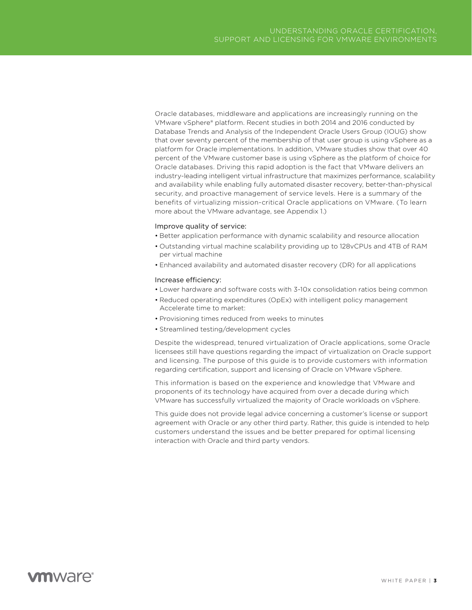<span id="page-2-0"></span>Oracle databases, middleware and applications are increasingly running on the VMware vSphere® platform. Recent studies in both 2014 and 2016 conducted by Database Trends and Analysis of the Independent Oracle Users Group (IOUG) show that over seventy percent of the membership of that user group is using vSphere as a platform for Oracle implementations. In addition, VMware studies show that over 40 percent of the VMware customer base is using vSphere as the platform of choice for Oracle databases. Driving this rapid adoption is the fact that VMware delivers an industry-leading intelligent virtual infrastructure that maximizes performance, scalability and availability while enabling fully automated disaster recovery, better-than-physical security, and proactive management of service levels. Here is a summary of the benefits of virtualizing mission-critical Oracle applications on VMware. (To learn more about the VMware advantage, see Appendix 1.)

#### Improve quality of service:

- Better application performance with dynamic scalability and resource allocation
- Outstanding virtual machine scalability providing up to 128vCPUs and 4TB of RAM per virtual machine
- Enhanced availability and automated disaster recovery (DR) for all applications

#### Increase efficiency:

- Lower hardware and software costs with 3-10x consolidation ratios being common
- Reduced operating expenditures (OpEx) with intelligent policy management Accelerate time to market:
- Provisioning times reduced from weeks to minutes
- Streamlined testing/development cycles

Despite the widespread, tenured virtualization of Oracle applications, some Oracle licensees still have questions regarding the impact of virtualization on Oracle support and licensing. The purpose of this guide is to provide customers with information regarding certification, support and licensing of Oracle on VMware vSphere.

This information is based on the experience and knowledge that VMware and proponents of its technology have acquired from over a decade during which VMware has successfully virtualized the majority of Oracle workloads on vSphere.

This guide does not provide legal advice concerning a customer's license or support agreement with Oracle or any other third party. Rather, this guide is intended to help customers understand the issues and be better prepared for optimal licensing interaction with Oracle and third party vendors.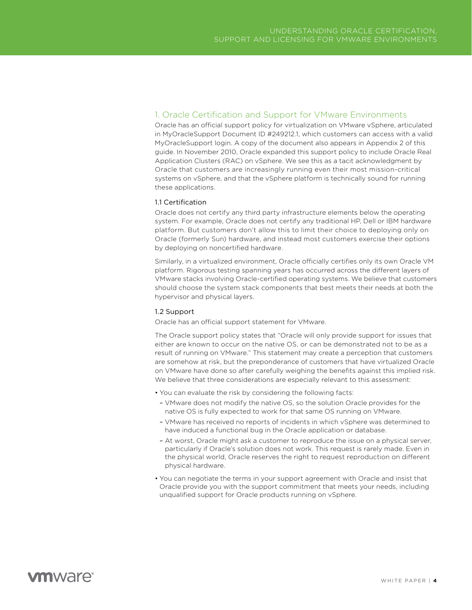# <span id="page-3-0"></span>1. Oracle Certification and Support for VMware Environments

Oracle has an official support policy for virtualization on VMware vSphere, articulated in MyOracleSupport Document ID #249212.1, which customers can access with a valid MyOracleSupport login. A copy of the document also appears in Appendix 2 of this guide. In November 2010, Oracle expanded this support policy to include Oracle Real Application Clusters (RAC) on vSphere. We see this as a tacit acknowledgment by Oracle that customers are increasingly running even their most mission-critical systems on vSphere, and that the vSphere platform is technically sound for running these applications.

# 1.1 Certification

Oracle does not certify any third party infrastructure elements below the operating system. For example, Oracle does not certify any traditional HP, Dell or IBM hardware platform. But customers don't allow this to limit their choice to deploying only on Oracle (formerly Sun) hardware, and instead most customers exercise their options by deploying on noncertified hardware.

Similarly, in a virtualized environment, Oracle officially certifies only its own Oracle VM platform. Rigorous testing spanning years has occurred across the different layers of VMware stacks involving Oracle-certified operating systems. We believe that customers should choose the system stack components that best meets their needs at both the hypervisor and physical layers.

# 1.2 Support

Oracle has an official support statement for VMware.

The Oracle support policy states that "Oracle will only provide support for issues that either are known to occur on the native OS, or can be demonstrated not to be as a result of running on VMware." This statement may create a perception that customers are somehow at risk, but the preponderance of customers that have virtualized Oracle on VMware have done so after carefully weighing the benefits against this implied risk. We believe that three considerations are especially relevant to this assessment:

- You can evaluate the risk by considering the following facts:
- VMware does not modify the native OS, so the solution Oracle provides for the native OS is fully expected to work for that same OS running on VMware.
- VMware has received no reports of incidents in which vSphere was determined to have induced a functional bug in the Oracle application or database.
- At worst, Oracle might ask a customer to reproduce the issue on a physical server, particularly if Oracle's solution does not work. This request is rarely made. Even in the physical world, Oracle reserves the right to request reproduction on different physical hardware.
- You can negotiate the terms in your support agreement with Oracle and insist that Oracle provide you with the support commitment that meets your needs, including unqualified support for Oracle products running on vSphere.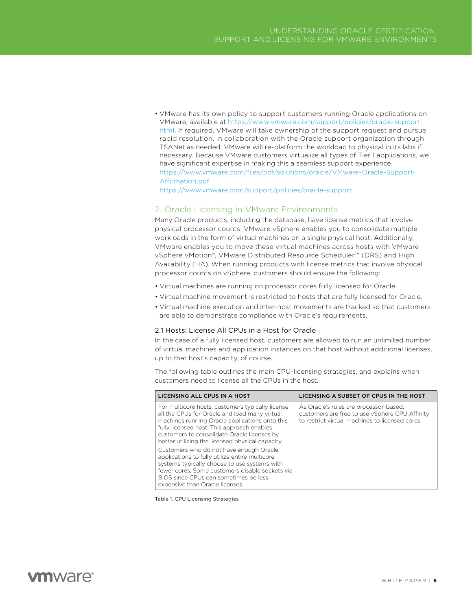<span id="page-4-0"></span>• VMware has its own policy to support customers running Oracle applications on VMware, available at [https://www.vmware.com/support/policies/oracle-support.](https://www.vmware.com/support/policies/oracle-support.html) [html](https://www.vmware.com/support/policies/oracle-support.html). If required, VMware will take ownership of the support request and pursue rapid resolution, in collaboration with the Oracle support organization through TSANet as needed. VMware will re-platform the workload to physical in its labs if necessary. Because VMware customers virtualize all types of Tier 1 applications, we have significant expertise in making this a seamless support experience. [https://www.vmware.com/files/pdf/solutions/oracle/VMware-Oracle-Support-](https://www.vmware.com/files/pdf/solutions/oracle/VMware-Oracle-Support-Affirmation.pdf)[Affirmation.pdf](https://www.vmware.com/files/pdf/solutions/oracle/VMware-Oracle-Support-Affirmation.pdf)

<https://www.vmware.com/support/policies/oracle-support>

# 2. Oracle Licensing in VMware Environments

Many Oracle products, including the database, have license metrics that involve physical processor counts. VMware vSphere enables you to consolidate multiple workloads in the form of virtual machines on a single physical host. Additionally, VMware enables you to move these virtual machines across hosts with VMware vSphere vMotion®, VMware Distributed Resource Scheduler™ (DRS) and High Availability (HA). When running products with license metrics that involve physical processor counts on vSphere, customers should ensure the following:

- Virtual machines are running on processor cores fully licensed for Oracle.
- Virtual machine movement is restricted to hosts that are fully licensed for Oracle.
- Virtual machine execution and inter-host movements are tracked so that customers are able to demonstrate compliance with Oracle's requirements.

### 2.1 Hosts: License All CPUs in a Host for Oracle

In the case of a fully licensed host, customers are allowed to run an unlimited number of virtual machines and application instances on that host without additional licenses, up to that host's capacity, of course.

The following table outlines the main CPU-licensing strategies, and explains when customers need to license all the CPUs in the host.

| LICENSING ALL CPUS IN A HOST                                                                                                                                                                                                                                                                         | LICENSING A SUBSET OF CPUS IN THE HOST                                                                                                      |
|------------------------------------------------------------------------------------------------------------------------------------------------------------------------------------------------------------------------------------------------------------------------------------------------------|---------------------------------------------------------------------------------------------------------------------------------------------|
| For multicore hosts, customers typically license<br>all the CPUs for Oracle and load many virtual<br>machines running Oracle applications onto this<br>fully licensed host. This approach enables<br>customers to consolidate Oracle licenses by<br>better utilizing the licensed physical capacity. | As Oracle's rules are processor-based,<br>customers are free to use vSphere CPU Affinity<br>to restrict virtual machines to licensed cores. |
| Customers who do not have enough Oracle<br>applications to fully utilize entire multicore<br>systems typically choose to use systems with<br>fewer cores. Some customers disable sockets via<br>BIOS since CPUs can sometimes be less<br>expensive than Oracle licenses.                             |                                                                                                                                             |

Table 1. CPU Licensing Strategies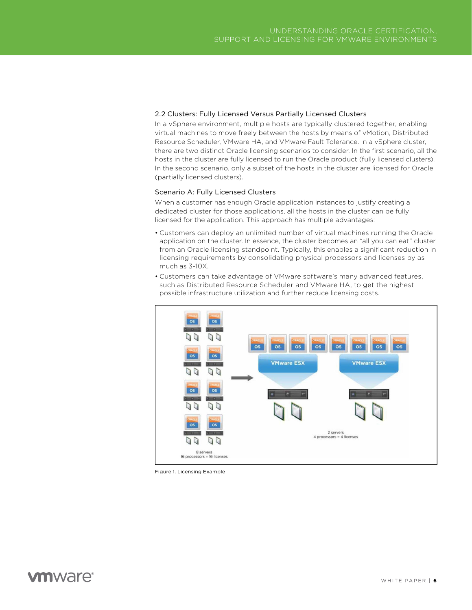# 2.2 Clusters: Fully Licensed Versus Partially Licensed Clusters

In a vSphere environment, multiple hosts are typically clustered together, enabling virtual machines to move freely between the hosts by means of vMotion, Distributed Resource Scheduler, VMware HA, and VMware Fault Tolerance. In a vSphere cluster, there are two distinct Oracle licensing scenarios to consider. In the first scenario, all the hosts in the cluster are fully licensed to run the Oracle product (fully licensed clusters). In the second scenario, only a subset of the hosts in the cluster are licensed for Oracle (partially licensed clusters).

#### Scenario A: Fully Licensed Clusters

When a customer has enough Oracle application instances to justify creating a dedicated cluster for those applications, all the hosts in the cluster can be fully licensed for the application. This approach has multiple advantages:

- Customers can deploy an unlimited number of virtual machines running the Oracle application on the cluster. In essence, the cluster becomes an "all you can eat" cluster from an Oracle licensing standpoint. Typically, this enables a significant reduction in licensing requirements by consolidating physical processors and licenses by as much as 3-10X.
- Customers can take advantage of VMware software's many advanced features, such as Distributed Resource Scheduler and VMware HA, to get the highest possible infrastructure utilization and further reduce licensing costs.



Figure 1. Licensing Example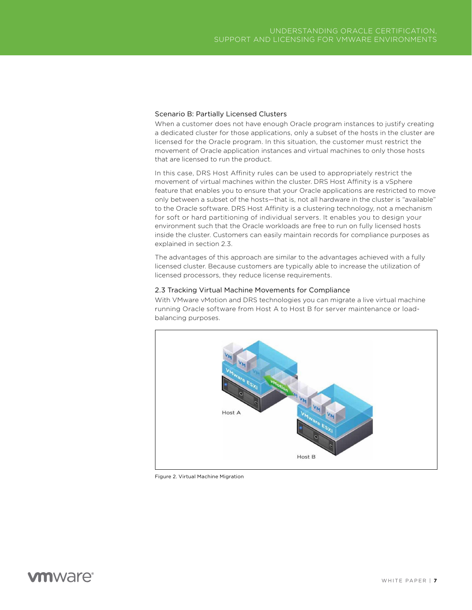# Scenario B: Partially Licensed Clusters

When a customer does not have enough Oracle program instances to justify creating a dedicated cluster for those applications, only a subset of the hosts in the cluster are licensed for the Oracle program. In this situation, the customer must restrict the movement of Oracle application instances and virtual machines to only those hosts that are licensed to run the product.

In this case, DRS Host Affinity rules can be used to appropriately restrict the movement of virtual machines within the cluster. DRS Host Affinity is a vSphere feature that enables you to ensure that your Oracle applications are restricted to move only between a subset of the hosts—that is, not all hardware in the cluster is "available" to the Oracle software. DRS Host Affinity is a clustering technology, not a mechanism for soft or hard partitioning of individual servers. It enables you to design your environment such that the Oracle workloads are free to run on fully licensed hosts inside the cluster. Customers can easily maintain records for compliance purposes as explained in section 2.3.

The advantages of this approach are similar to the advantages achieved with a fully licensed cluster. Because customers are typically able to increase the utilization of licensed processors, they reduce license requirements.

#### 2.3 Tracking Virtual Machine Movements for Compliance

With VMware vMotion and DRS technologies you can migrate a live virtual machine running Oracle software from Host A to Host B for server maintenance or loadbalancing purposes.



Figure 2. Virtual Machine Migration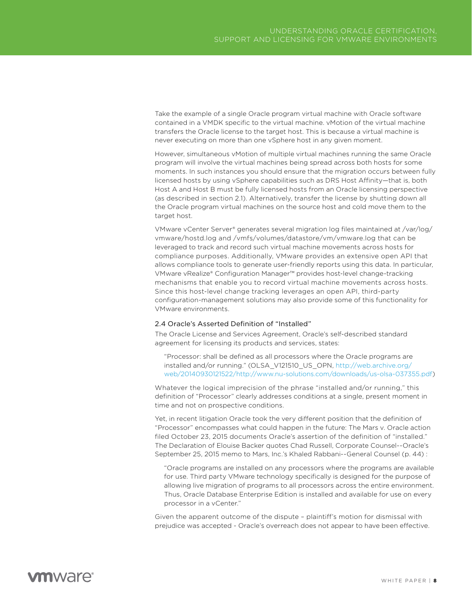Take the example of a single Oracle program virtual machine with Oracle software contained in a VMDK specific to the virtual machine. vMotion of the virtual machine transfers the Oracle license to the target host. This is because a virtual machine is never executing on more than one vSphere host in any given moment.

However, simultaneous vMotion of multiple virtual machines running the same Oracle program will involve the virtual machines being spread across both hosts for some moments. In such instances you should ensure that the migration occurs between fully licensed hosts by using vSphere capabilities such as DRS Host Affinity—that is, both Host A and Host B must be fully licensed hosts from an Oracle licensing perspective (as described in section 2.1). Alternatively, transfer the license by shutting down all the Oracle program virtual machines on the source host and cold move them to the target host.

VMware vCenter Server® generates several migration log files maintained at /var/log/ vmware/hostd.log and /vmfs/volumes/datastore/vm/vmware.log that can be leveraged to track and record such virtual machine movements across hosts for compliance purposes. Additionally, VMware provides an extensive open API that allows compliance tools to generate user-friendly reports using this data. In particular, VMware vRealize® Configuration Manager™ provides host-level change-tracking mechanisms that enable you to record virtual machine movements across hosts. Since this host-level change tracking leverages an open API, third-party configuration-management solutions may also provide some of this functionality for VMware environments.

### 2.4 Oracle's Asserted Definition of "Installed"

The Oracle License and Services Agreement, Oracle's self-described standard agreement for licensing its products and services, states:

"Processor: shall be defined as all processors where the Oracle programs are installed and/or running." (OLSA\_V121510\_US\_OPN, [http://web.archive.org/](http://web.archive.org/web/20140930121522/http://www.nu-solutions.com/downloads/us-olsa-037355.pdf) [web/20140930121522/http://www.nu-solutions.com/downloads/us-olsa-037355.pdf](http://web.archive.org/web/20140930121522/http://www.nu-solutions.com/downloads/us-olsa-037355.pdf))

Whatever the logical imprecision of the phrase "installed and/or running," this definition of "Processor" clearly addresses conditions at a single, present moment in time and not on prospective conditions.

Yet, in recent litigation Oracle took the very different position that the definition of "Processor" encompasses what could happen in the future: The Mars v. Oracle action filed October 23, 2015 documents Oracle's assertion of the definition of "installed." The Declaration of Elouise Backer quotes Chad Russell, Corporate Counsel--Oracle's September 25, 2015 memo to Mars, Inc.'s Khaled Rabbani--General Counsel (p. 44) :

"Oracle programs are installed on any processors where the programs are available for use. Third party VMware technology specifically is designed for the purpose of allowing live migration of programs to all processors across the entire environment. Thus, Oracle Database Enterprise Edition is installed and available for use on every processor in a vCenter."

Given the apparent outcome of the dispute – plaintiff's motion for dismissal with prejudice was accepted - Oracle's overreach does not appear to have been effective.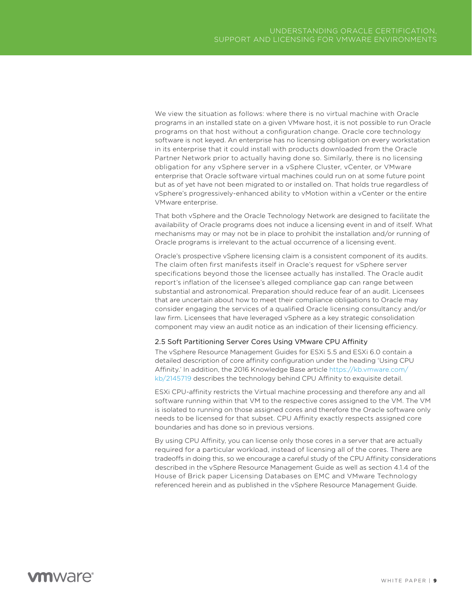We view the situation as follows: where there is no virtual machine with Oracle programs in an installed state on a given VMware host, it is not possible to run Oracle programs on that host without a configuration change. Oracle core technology software is not keyed. An enterprise has no licensing obligation on every workstation in its enterprise that it could install with products downloaded from the Oracle Partner Network prior to actually having done so. Similarly, there is no licensing obligation for any vSphere server in a vSphere Cluster, vCenter, or VMware enterprise that Oracle software virtual machines could run on at some future point but as of yet have not been migrated to or installed on. That holds true regardless of vSphere's progressively-enhanced ability to vMotion within a vCenter or the entire VMware enterprise.

That both vSphere and the Oracle Technology Network are designed to facilitate the availability of Oracle programs does not induce a licensing event in and of itself. What mechanisms may or may not be in place to prohibit the installation and/or running of Oracle programs is irrelevant to the actual occurrence of a licensing event.

Oracle's prospective vSphere licensing claim is a consistent component of its audits. The claim often first manifests itself in Oracle's request for vSphere server specifications beyond those the licensee actually has installed. The Oracle audit report's inflation of the licensee's alleged compliance gap can range between substantial and astronomical. Preparation should reduce fear of an audit. Licensees that are uncertain about how to meet their compliance obligations to Oracle may consider engaging the services of a qualified Oracle licensing consultancy and/or law firm. Licensees that have leveraged vSphere as a key strategic consolidation component may view an audit notice as an indication of their licensing efficiency.

#### 2.5 Soft Partitioning Server Cores Using VMware CPU Affinity

The vSphere Resource Management Guides for ESXi 5.5 and ESXi 6.0 contain a detailed description of core affinity configuration under the heading 'Using CPU Affinity.' In addition, the 2016 Knowledge Base article [https://kb.vmware.com/](https://kb.vmware.com/kb/2145719) [kb/2145719](https://kb.vmware.com/kb/2145719) describes the technology behind CPU Affinity to exquisite detail.

ESXi CPU-affinity restricts the Virtual machine processing and therefore any and all software running within that VM to the respective cores assigned to the VM. The VM is isolated to running on those assigned cores and therefore the Oracle software only needs to be licensed for that subset. CPU Affinity exactly respects assigned core boundaries and has done so in previous versions.

By using CPU Affinity, you can license only those cores in a server that are actually required for a particular workload, instead of licensing all of the cores. There are tradeoffs in doing this, so we encourage a careful study of the CPU Affinity considerations described in the vSphere Resource Management Guide as well as section 4.1.4 of the House of Brick paper Licensing Databases on EMC and VMware Technology referenced herein and as published in the vSphere Resource Management Guide.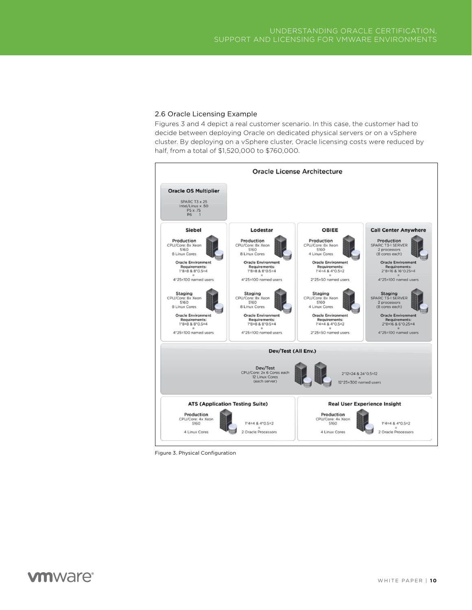## 2.6 Oracle Licensing Example

Figures 3 and 4 depict a real customer scenario. In this case, the customer had to decide between deploying Oracle on dedicated physical servers or on a vSphere cluster. By deploying on a vSphere cluster, Oracle licensing costs were reduced by half, from a total of \$1,520,000 to \$760,000.



Figure 3. Physical Configuration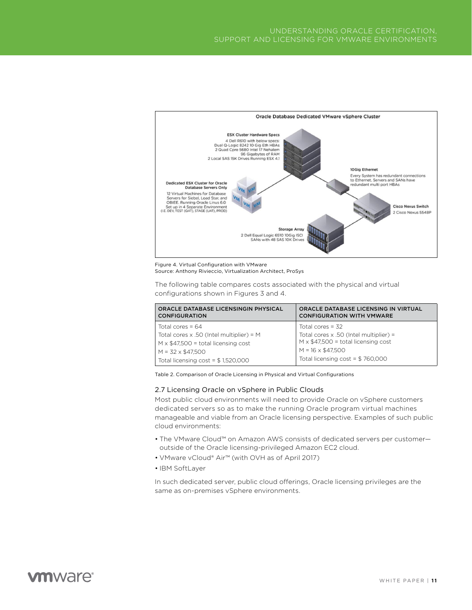

Figure 4. Virtual Configuration with VMware Source: Anthony Rivieccio, Virtualization Architect, ProSys

The following table compares costs associated with the physical and virtual configurations shown in Figures 3 and 4.

| ORACLE DATABASE LICENSINGIN PHYSICAL<br><b>CONFIGURATION</b> | ORACLE DATABASE LICENSING IN VIRTUAL<br><b>CONFIGURATION WITH VMWARE</b> |
|--------------------------------------------------------------|--------------------------------------------------------------------------|
| Total cores = $64$                                           | Total cores = $32$                                                       |
| Total cores $\times$ .50 (Intel multiplier) = M              | Total cores $\times$ .50 (Intel multiplier) =                            |
| $M \times $47,500 =$ total licensing cost                    | $M \times $47,500 =$ total licensing cost                                |
| $M = 32 \times $47.500$                                      | $M = 16 \times $47.500$                                                  |
| Total licensing $cost = $1,520,000$                          | Total licensing $cost = $760,000$                                        |

Table 2. Comparison of Oracle Licensing in Physical and Virtual Configurations

### 2.7 Licensing Oracle on vSphere in Public Clouds

Most public cloud environments will need to provide Oracle on vSphere customers dedicated servers so as to make the running Oracle program virtual machines manageable and viable from an Oracle licensing perspective. Examples of such public cloud environments:

- The VMware Cloud™ on Amazon AWS consists of dedicated servers per customer outside of the Oracle licensing-privileged Amazon EC2 cloud.
- VMware vCloud® Air™ (with OVH as of April 2017)
- IBM SoftLayer

In such dedicated server, public cloud offerings, Oracle licensing privileges are the same as on-premises vSphere environments.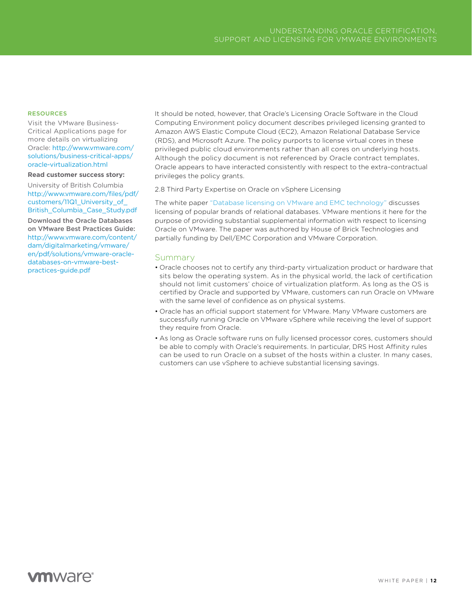#### <span id="page-11-0"></span>RESOURCES

Visit the VMware Business-Critical Applications page for more details on virtualizing Oracle: [http://www.vmware.com/](http://www.vmware.com/solutions/business-critical-apps/oracle-virtualization.html) [solutions/business-critical-apps/](http://www.vmware.com/solutions/business-critical-apps/oracle-virtualization.html) [oracle-virtualization.html](http://www.vmware.com/solutions/business-critical-apps/oracle-virtualization.html)

#### **Read customer success story:**

University of British Columbia [http://www.vmware.com/files/pdf/](http://www.vmware.com/files/pdf/customers/11Q1_University_of_British_Columbia_Case_Study.pdf) [customers/11Q1\\_University\\_of\\_](http://www.vmware.com/files/pdf/customers/11Q1_University_of_British_Columbia_Case_Study.pdf) [British\\_Columbia\\_Case\\_Study.pdf](http://www.vmware.com/files/pdf/customers/11Q1_University_of_British_Columbia_Case_Study.pdf)

Download the Oracle Databases on VMware Best Practices Guide: [http://www.vmware.com/content/](http://www.vmware.com/content/dam/digitalmarketing/vmware/en/pdf/solutions/vmware-oracle-databases-on-vmware-best-practices-guide.pdf) [dam/digitalmarketing/vmware/](http://www.vmware.com/content/dam/digitalmarketing/vmware/en/pdf/solutions/vmware-oracle-databases-on-vmware-best-practices-guide.pdf) [en/pdf/solutions/vmware-oracle](http://www.vmware.com/content/dam/digitalmarketing/vmware/en/pdf/solutions/vmware-oracle-databases-on-vmware-best-practices-guide.pdf)[databases-on-vmware-best](http://www.vmware.com/content/dam/digitalmarketing/vmware/en/pdf/solutions/vmware-oracle-databases-on-vmware-best-practices-guide.pdf)[practices-guide.pdf](http://www.vmware.com/content/dam/digitalmarketing/vmware/en/pdf/solutions/vmware-oracle-databases-on-vmware-best-practices-guide.pdf)

It should be noted, however, that Oracle's Licensing Oracle Software in the Cloud Computing Environment policy document describes privileged licensing granted to Amazon AWS Elastic Compute Cloud (EC2), Amazon Relational Database Service (RDS), and Microsoft Azure. The policy purports to license virtual cores in these privileged public cloud environments rather than all cores on underlying hosts. Although the policy document is not referenced by Oracle contract templates, Oracle appears to have interacted consistently with respect to the extra-contractual privileges the policy grants.

#### 2.8 Third Party Expertise on Oracle on vSphere Licensing

The white paper ["Database licensing on VMware and EMC technology"](http://houseofbrick.com/whitepaper-database-licensing/) discusses licensing of popular brands of relational databases. VMware mentions it here for the purpose of providing substantial supplemental information with respect to licensing Oracle on VMware. The paper was authored by House of Brick Technologies and partially funding by Dell/EMC Corporation and VMware Corporation.

# Summary

- Oracle chooses not to certify any third-party virtualization product or hardware that sits below the operating system. As in the physical world, the lack of certification should not limit customers' choice of virtualization platform. As long as the OS is certified by Oracle and supported by VMware, customers can run Oracle on VMware with the same level of confidence as on physical systems.
- Oracle has an official support statement for VMware. Many VMware customers are successfully running Oracle on VMware vSphere while receiving the level of support they require from Oracle.
- As long as Oracle software runs on fully licensed processor cores, customers should be able to comply with Oracle's requirements. In particular, DRS Host Affinity rules can be used to run Oracle on a subset of the hosts within a cluster. In many cases, customers can use vSphere to achieve substantial licensing savings.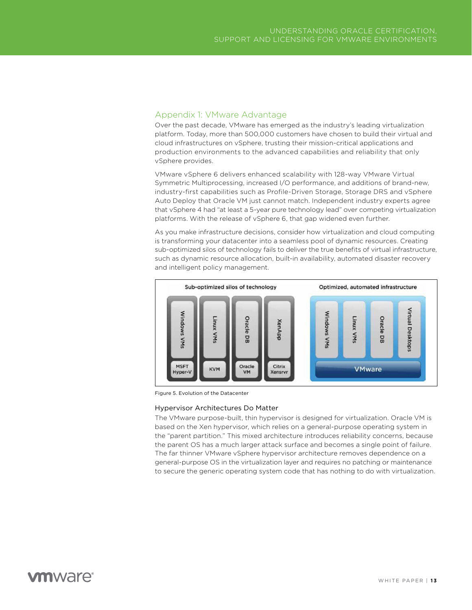# <span id="page-12-0"></span>Appendix 1: VMware Advantage

Over the past decade, VMware has emerged as the industry's leading virtualization platform. Today, more than 500,000 customers have chosen to build their virtual and cloud infrastructures on vSphere, trusting their mission-critical applications and production environments to the advanced capabilities and reliability that only vSphere provides.

VMware vSphere 6 delivers enhanced scalability with 128-way VMware Virtual Symmetric Multiprocessing, increased I/O performance, and additions of brand-new, industry-first capabilities such as Profile-Driven Storage, Storage DRS and vSphere Auto Deploy that Oracle VM just cannot match. Independent industry experts agree that vSphere 4 had "at least a 5-year pure technology lead" over competing virtualization platforms. With the release of vSphere 6, that gap widened even further.

As you make infrastructure decisions, consider how virtualization and cloud computing is transforming your datacenter into a seamless pool of dynamic resources. Creating sub-optimized silos of technology fails to deliver the true benefits of virtual infrastructure, such as dynamic resource allocation, built-in availability, automated disaster recovery and intelligent policy management.



Figure 5. Evolution of the Datacenter

#### Hypervisor Architectures Do Matter

The VMware purpose-built, thin hypervisor is designed for virtualization. Oracle VM is based on the Xen hypervisor, which relies on a general-purpose operating system in the "parent partition." This mixed architecture introduces reliability concerns, because the parent OS has a much larger attack surface and becomes a single point of failure. The far thinner VMware vSphere hypervisor architecture removes dependence on a general-purpose OS in the virtualization layer and requires no patching or maintenance to secure the generic operating system code that has nothing to do with virtualization.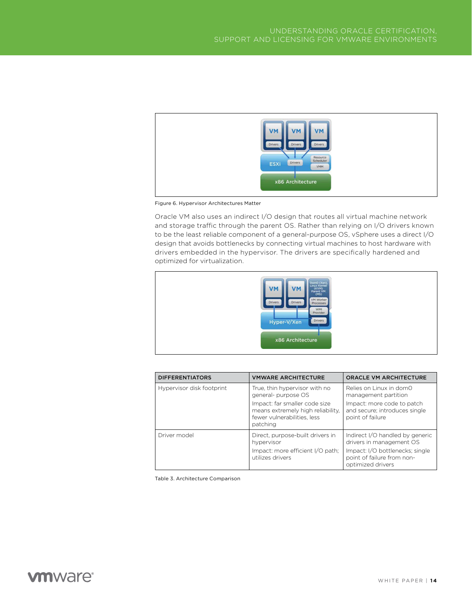

Figure 6. Hypervisor Architectures Matter

Oracle VM also uses an indirect I/O design that routes all virtual machine network and storage traffic through the parent OS. Rather than relying on I/O drivers known to be the least reliable component of a general-purpose OS, vSphere uses a direct I/O design that avoids bottlenecks by connecting virtual machines to host hardware with drivers embedded in the hypervisor. The drivers are specifically hardened and optimized for virtualization.



| <b>DIFFERENTIATORS</b>    | <b>VMWARE ARCHITECTURE</b>                                                                                                                                            | <b>ORACLE VM ARCHITECTURE</b>                                                                                                                     |
|---------------------------|-----------------------------------------------------------------------------------------------------------------------------------------------------------------------|---------------------------------------------------------------------------------------------------------------------------------------------------|
| Hypervisor disk footprint | True, thin hypervisor with no<br>general- purpose OS<br>Impact: far smaller code size<br>means extremely high reliability.<br>fewer vulnerabilities, less<br>patching | Relies on Linux in dom0<br>management partition<br>Impact: more code to patch<br>and secure; introduces single<br>point of failure                |
| Driver model              | Direct, purpose-built drivers in<br>hypervisor<br>Impact: more efficient I/O path;<br>utilizes drivers                                                                | Indirect I/O handled by generic<br>drivers in management OS<br>Impact: I/O bottlenecks; single<br>point of failure from non-<br>optimized drivers |

Table 3. Architecture Comparison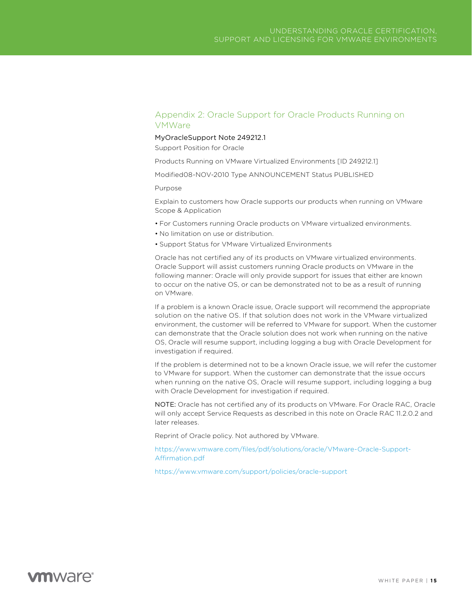# <span id="page-14-0"></span>Appendix 2: Oracle Support for Oracle Products Running on VMWare

### MyOracleSupport Note 249212.1

Support Position for Oracle

Products Running on VMware Virtualized Environments [ID 249212.1]

Modified08-NOV-2010 Type ANNOUNCEMENT Status PUBLISHED

Purpose

Explain to customers how Oracle supports our products when running on VMware Scope & Application

- For Customers running Oracle products on VMware virtualized environments.
- No limitation on use or distribution.
- Support Status for VMware Virtualized Environments

Oracle has not certified any of its products on VMware virtualized environments. Oracle Support will assist customers running Oracle products on VMware in the following manner: Oracle will only provide support for issues that either are known to occur on the native OS, or can be demonstrated not to be as a result of running on VMware.

If a problem is a known Oracle issue, Oracle support will recommend the appropriate solution on the native OS. If that solution does not work in the VMware virtualized environment, the customer will be referred to VMware for support. When the customer can demonstrate that the Oracle solution does not work when running on the native OS, Oracle will resume support, including logging a bug with Oracle Development for investigation if required.

If the problem is determined not to be a known Oracle issue, we will refer the customer to VMware for support. When the customer can demonstrate that the issue occurs when running on the native OS, Oracle will resume support, including logging a bug with Oracle Development for investigation if required.

NOTE: Oracle has not certified any of its products on VMware. For Oracle RAC, Oracle will only accept Service Requests as described in this note on Oracle RAC 11.2.0.2 and later releases.

Reprint of Oracle policy. Not authored by VMware.

[https://www.vmware.com/files/pdf/solutions/oracle/VMware-Oracle-Support-](https://www.vmware.com/files/pdf/solutions/oracle/VMware-Oracle-Support-Affirmation.pdf)[Affirmation.pdf](https://www.vmware.com/files/pdf/solutions/oracle/VMware-Oracle-Support-Affirmation.pdf)

<https://www.vmware.com/support/policies/oracle-support>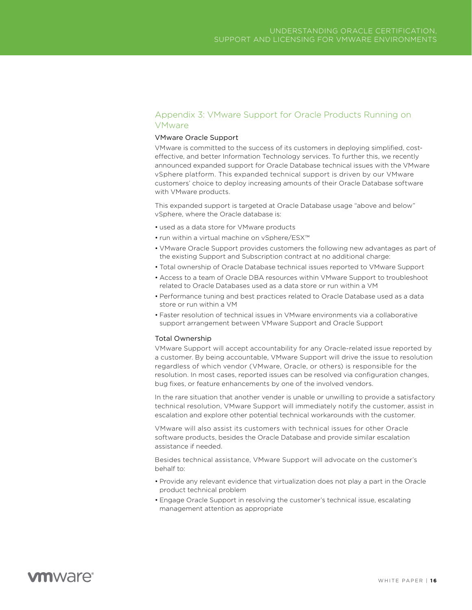# <span id="page-15-0"></span>Appendix 3: VMware Support for Oracle Products Running on VMware

## VMware Oracle Support

VMware is committed to the success of its customers in deploying simplified, costeffective, and better Information Technology services. To further this, we recently announced expanded support for Oracle Database technical issues with the VMware vSphere platform. This expanded technical support is driven by our VMware customers' choice to deploy increasing amounts of their Oracle Database software with VMware products.

This expanded support is targeted at Oracle Database usage "above and below" vSphere, where the Oracle database is:

- used as a data store for VMware products
- run within a virtual machine on vSphere/ESX™
- VMware Oracle Support provides customers the following new advantages as part of the existing Support and Subscription contract at no additional charge:
- Total ownership of Oracle Database technical issues reported to VMware Support
- Access to a team of Oracle DBA resources within VMware Support to troubleshoot related to Oracle Databases used as a data store or run within a VM
- Performance tuning and best practices related to Oracle Database used as a data store or run within a VM
- Faster resolution of technical issues in VMware environments via a collaborative support arrangement between VMware Support and Oracle Support

### Total Ownership

VMware Support will accept accountability for any Oracle-related issue reported by a customer. By being accountable, VMware Support will drive the issue to resolution regardless of which vendor (VMware, Oracle, or others) is responsible for the resolution. In most cases, reported issues can be resolved via configuration changes, bug fixes, or feature enhancements by one of the involved vendors.

In the rare situation that another vender is unable or unwilling to provide a satisfactory technical resolution, VMware Support will immediately notify the customer, assist in escalation and explore other potential technical workarounds with the customer.

VMware will also assist its customers with technical issues for other Oracle software products, besides the Oracle Database and provide similar escalation assistance if needed.

Besides technical assistance, VMware Support will advocate on the customer's behalf to:

- Provide any relevant evidence that virtualization does not play a part in the Oracle product technical problem
- Engage Oracle Support in resolving the customer's technical issue, escalating management attention as appropriate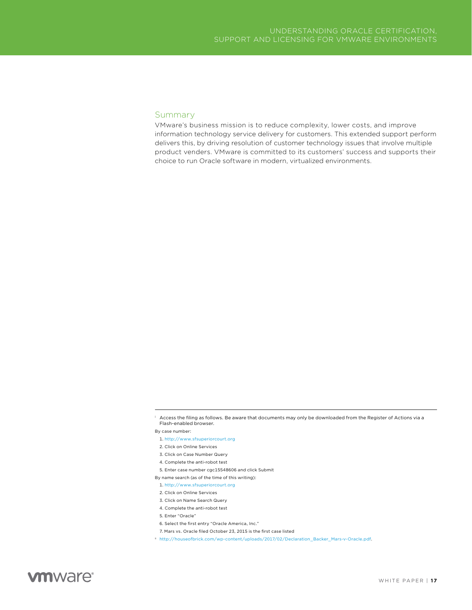### Summary

VMware's business mission is to reduce complexity, lower costs, and improve information technology service delivery for customers. This extended support perform delivers this, by driving resolution of customer technology issues that involve multiple product venders. VMware is committed to its customers' success and supports their choice to run Oracle software in modern, virtualized environments.

By case number:

- 4. Complete the anti-robot test
- 5. Enter case number cgc15548606 and click Submit

- 1. <http://www.sfsuperiorcourt.org>
- 2. Click on Online Services
- 3. Click on Name Search Query
- 4. Complete the anti-robot test
- 5. Enter "Oracle"
- 6. Select the first entry "Oracle America, Inc."
- 7. Mars vs. Oracle filed October 23, 2015 is the first case listed
- ii [http://houseofbrick.com/wp-content/uploads/2017/02/Declaration\\_Backer\\_Mars-v-Oracle.pdf](http://houseofbrick.com/wp-content/uploads/2017/02/Declaration_Backer_Mars-v-Oracle.pdf).

<sup>i</sup> Access the filing as follows. Be aware that documents may only be downloaded from the Register of Actions via a Flash-enabled browser.

<sup>1.</sup> <http://www.sfsuperiorcourt.org>

<sup>2.</sup> Click on Online Services

<sup>3.</sup> Click on Case Number Query

By name search (as of the time of this writing):